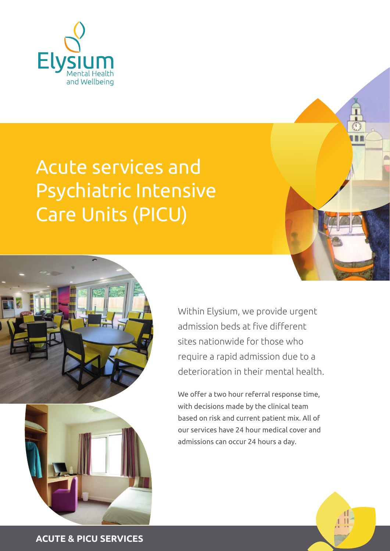

# Acute services and Psychiatric Intensive Care Units (PICU)





Within Elysium, we provide urgent admission beds at five different sites nationwide for those who require a rapid admission due to a deterioration in their mental health.

We offer a two hour referral response time. with decisions made by the clinical team based on risk and current patient mix. All of our services have 24 hour medical cover and admissions can occur 24 hours a day.



**ACUTE & PICU SERVICES**